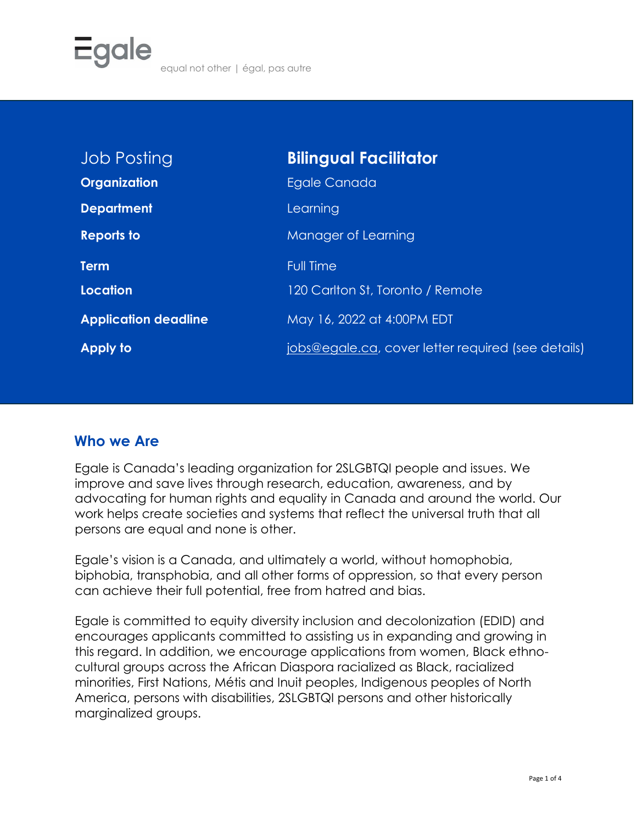| <b>Job Posting</b>          | <b>Bilingual Facilitator</b>                       |
|-----------------------------|----------------------------------------------------|
| Organization                | Egale Canada                                       |
| <b>Department</b>           | Learning                                           |
| <b>Reports to</b>           | Manager of Learning                                |
| <b>Term</b>                 | <b>Full Time</b>                                   |
| <b>Location</b>             | 120 Carlton St, Toronto / Remote                   |
| <b>Application deadline</b> | May 16, 2022 at 4:00PM EDT                         |
| <b>Apply to</b>             | jobs@egale.ca, cover letter required (see details) |

#### **Who we Are**

Egale is Canada's leading organization for 2SLGBTQI people and issues. We improve and save lives through research, education, awareness, and by advocating for human rights and equality in Canada and around the world. Our work helps create societies and systems that reflect the universal truth that all persons are equal and none is other.

Egale's vision is a Canada, and ultimately a world, without homophobia, biphobia, transphobia, and all other forms of oppression, so that every person can achieve their full potential, free from hatred and bias.

Egale is committed to equity diversity inclusion and decolonization (EDID) and encourages applicants committed to assisting us in expanding and growing in this regard. In addition, we encourage applications from women, Black ethnocultural groups across the African Diaspora racialized as Black, racialized minorities, First Nations, Métis and Inuit peoples, Indigenous peoples of North America, persons with disabilities, 2SLGBTQI persons and other historically marginalized groups.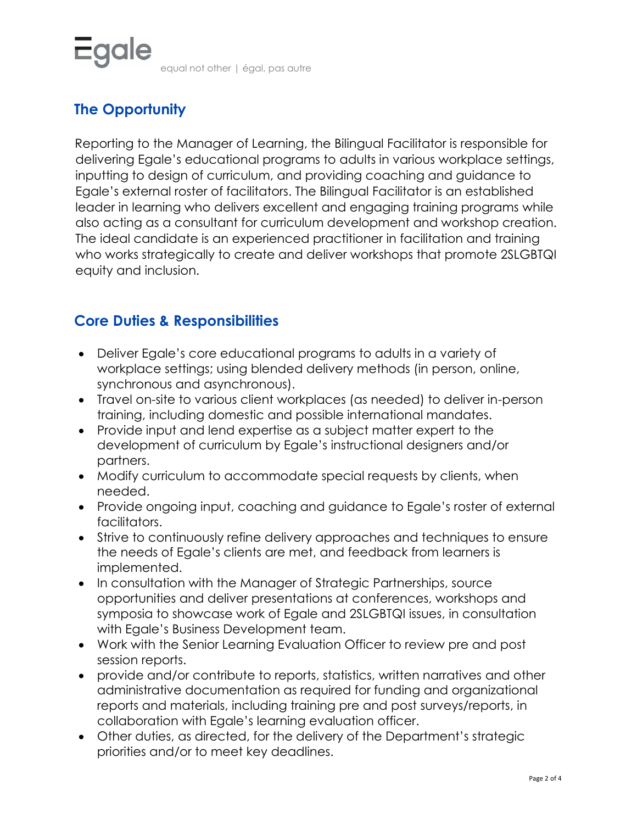# **The Opportunity**

Reporting to the Manager of Learning, the Bilingual Facilitator is responsible for delivering Egale's educational programs to adults in various workplace settings, inputting to design of curriculum, and providing coaching and guidance to Egale's external roster of facilitators. The Bilingual Facilitator is an established leader in learning who delivers excellent and engaging training programs while also acting as a consultant for curriculum development and workshop creation. The ideal candidate is an experienced practitioner in facilitation and training who works strategically to create and deliver workshops that promote 2SLGBTQI equity and inclusion.

## **Core Duties & Responsibilities**

- Deliver Egale's core educational programs to adults in a variety of workplace settings; using blended delivery methods (in person, online, synchronous and asynchronous).
- Travel on-site to various client workplaces (as needed) to deliver in-person training, including domestic and possible international mandates.
- Provide input and lend expertise as a subject matter expert to the development of curriculum by Egale's instructional designers and/or partners.
- Modify curriculum to accommodate special requests by clients, when needed.
- Provide ongoing input, coaching and guidance to Egale's roster of external facilitators.
- Strive to continuously refine delivery approaches and techniques to ensure the needs of Egale's clients are met, and feedback from learners is implemented.
- In consultation with the Manager of Strategic Partnerships, source opportunities and deliver presentations at conferences, workshops and symposia to showcase work of Egale and 2SLGBTQI issues, in consultation with Egale's Business Development team.
- Work with the Senior Learning Evaluation Officer to review pre and post session reports.
- provide and/or contribute to reports, statistics, written narratives and other administrative documentation as required for funding and organizational reports and materials, including training pre and post surveys/reports, in collaboration with Egale's learning evaluation officer.
- Other duties, as directed, for the delivery of the Department's strategic priorities and/or to meet key deadlines.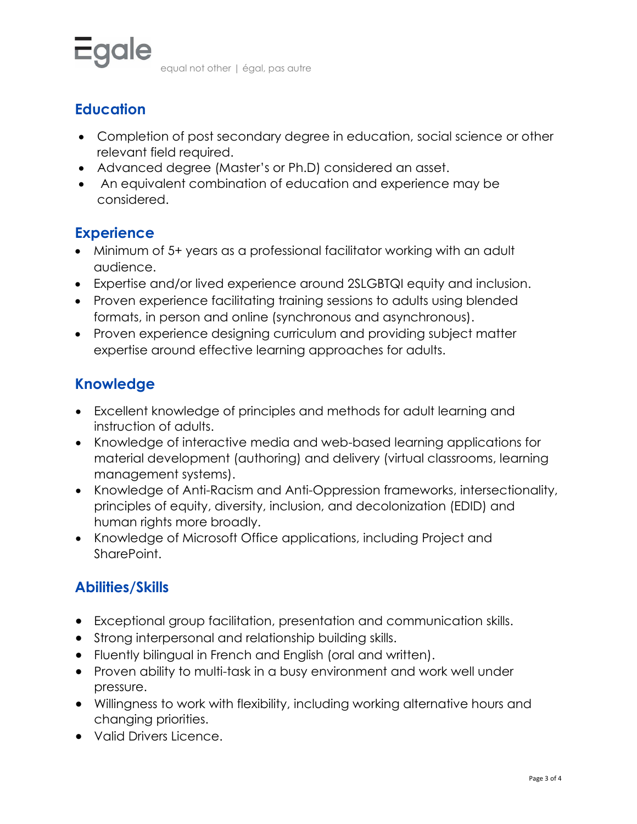

equal not other | égal, pas autre

### **Education**

- Completion of post secondary degree in education, social science or other relevant field required.
- Advanced degree (Master's or Ph.D) considered an asset.
- An equivalent combination of education and experience may be considered.

### **Experience**

- Minimum of 5+ years as a professional facilitator working with an adult audience.
- Expertise and/or lived experience around 2SLGBTQI equity and inclusion.
- Proven experience facilitating training sessions to adults using blended formats, in person and online (synchronous and asynchronous).
- Proven experience designing curriculum and providing subject matter expertise around effective learning approaches for adults.

## **Knowledge**

- Excellent knowledge of principles and methods for adult learning and instruction of adults.
- Knowledge of interactive media and web-based learning applications for material development (authoring) and delivery (virtual classrooms, learning management systems).
- Knowledge of Anti-Racism and Anti-Oppression frameworks, intersectionality, principles of equity, diversity, inclusion, and decolonization (EDID) and human rights more broadly.
- Knowledge of Microsoft Office applications, including Project and SharePoint.

## **Abilities/Skills**

- Exceptional group facilitation, presentation and communication skills.
- Strong interpersonal and relationship building skills.
- Fluently bilingual in French and English (oral and written).
- Proven ability to multi-task in a busy environment and work well under pressure.
- Willingness to work with flexibility, including working alternative hours and changing priorities.
- Valid Drivers Licence.